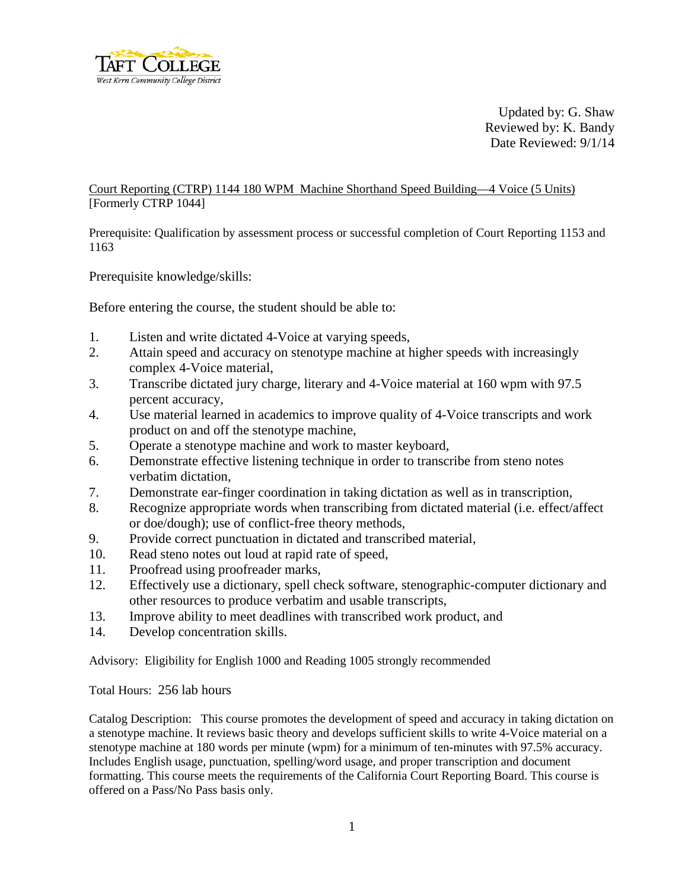

Updated by: G. Shaw Reviewed by: K. Bandy Date Reviewed: 9/1/14

Court Reporting (CTRP) 1144 180 WPM Machine Shorthand Speed Building—4 Voice (5 Units) [Formerly CTRP 1044]

Prerequisite: Qualification by assessment process or successful completion of Court Reporting 1153 and 1163

Prerequisite knowledge/skills:

Before entering the course, the student should be able to:

- 1. Listen and write dictated 4-Voice at varying speeds,
- 2. Attain speed and accuracy on stenotype machine at higher speeds with increasingly complex 4-Voice material,
- 3. Transcribe dictated jury charge, literary and 4-Voice material at 160 wpm with 97.5 percent accuracy,
- 4. Use material learned in academics to improve quality of 4-Voice transcripts and work product on and off the stenotype machine,
- 5. Operate a stenotype machine and work to master keyboard,
- 6. Demonstrate effective listening technique in order to transcribe from steno notes verbatim dictation,
- 7. Demonstrate ear-finger coordination in taking dictation as well as in transcription,
- 8. Recognize appropriate words when transcribing from dictated material (i.e. effect/affect or doe/dough); use of conflict-free theory methods,
- 9. Provide correct punctuation in dictated and transcribed material,
- 10. Read steno notes out loud at rapid rate of speed,
- 11. Proofread using proofreader marks,
- 12. Effectively use a dictionary, spell check software, stenographic-computer dictionary and other resources to produce verbatim and usable transcripts,
- 13. Improve ability to meet deadlines with transcribed work product, and
- 14. Develop concentration skills.

Advisory: Eligibility for English 1000 and Reading 1005 strongly recommended

Total Hours: 256 lab hours

Catalog Description: This course promotes the development of speed and accuracy in taking dictation on a stenotype machine. It reviews basic theory and develops sufficient skills to write 4-Voice material on a stenotype machine at 180 words per minute (wpm) for a minimum of ten-minutes with 97.5% accuracy. Includes English usage, punctuation, spelling/word usage, and proper transcription and document formatting. This course meets the requirements of the California Court Reporting Board. This course is offered on a Pass/No Pass basis only.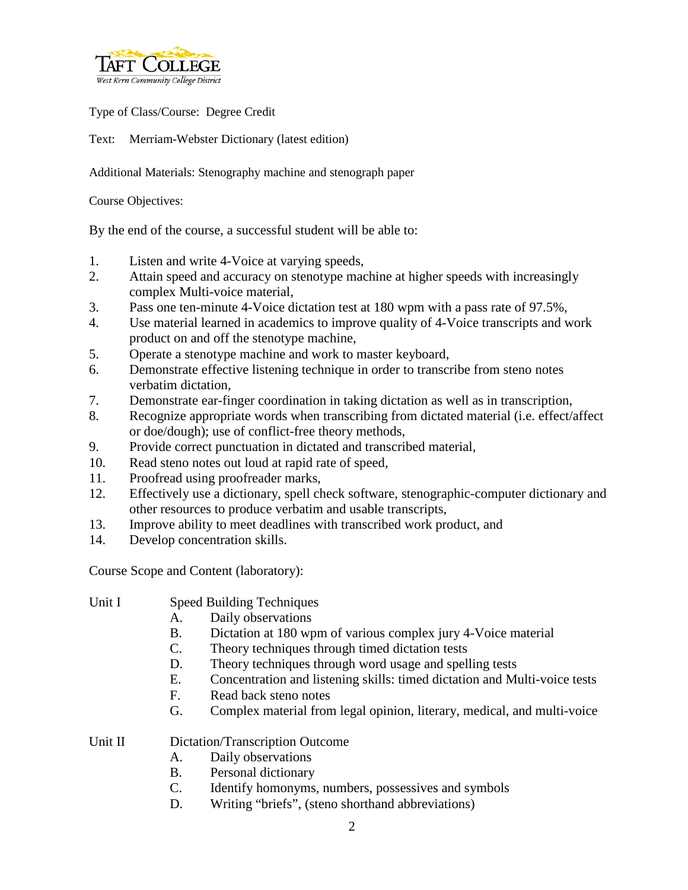

Type of Class/Course: Degree Credit

Text: Merriam-Webster Dictionary (latest edition)

Additional Materials: Stenography machine and stenograph paper

Course Objectives:

By the end of the course, a successful student will be able to:

- 1. Listen and write 4-Voice at varying speeds,
- 2. Attain speed and accuracy on stenotype machine at higher speeds with increasingly complex Multi-voice material,
- 3. Pass one ten-minute 4-Voice dictation test at 180 wpm with a pass rate of 97.5%,
- 4. Use material learned in academics to improve quality of 4-Voice transcripts and work product on and off the stenotype machine,
- 5. Operate a stenotype machine and work to master keyboard,
- 6. Demonstrate effective listening technique in order to transcribe from steno notes verbatim dictation,
- 7. Demonstrate ear-finger coordination in taking dictation as well as in transcription,
- 8. Recognize appropriate words when transcribing from dictated material (i.e. effect/affect or doe/dough); use of conflict-free theory methods,
- 9. Provide correct punctuation in dictated and transcribed material,
- 10. Read steno notes out loud at rapid rate of speed,
- 11. Proofread using proofreader marks,
- 12. Effectively use a dictionary, spell check software, stenographic-computer dictionary and other resources to produce verbatim and usable transcripts,
- 13. Improve ability to meet deadlines with transcribed work product, and
- 14. Develop concentration skills.

Course Scope and Content (laboratory):

- Unit I Speed Building Techniques
	- A. Daily observations
	- B. Dictation at 180 wpm of various complex jury 4-Voice material
	- C. Theory techniques through timed dictation tests
	- D. Theory techniques through word usage and spelling tests
	- E. Concentration and listening skills: timed dictation and Multi-voice tests
	- F. Read back steno notes
	- G. Complex material from legal opinion, literary, medical, and multi-voice

Unit II Dictation/Transcription Outcome

- A. Daily observations
- B. Personal dictionary
- C. Identify homonyms, numbers, possessives and symbols
- D. Writing "briefs", (steno shorthand abbreviations)